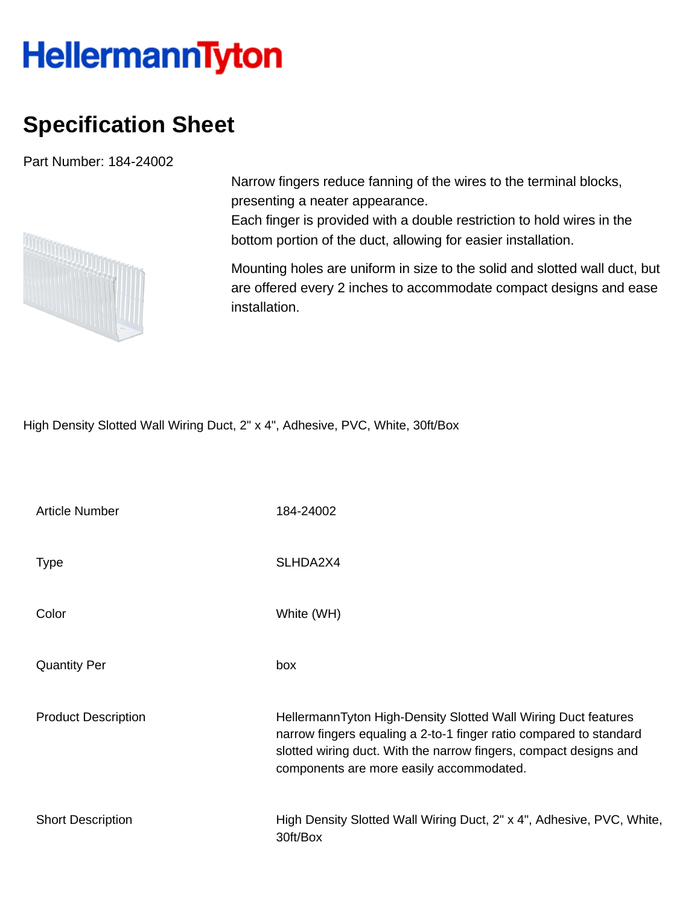## **HellermannTyton**

## **Specification Sheet**

Part Number: 184-24002



Narrow fingers reduce fanning of the wires to the terminal blocks, presenting a neater appearance.

Each finger is provided with a double restriction to hold wires in the bottom portion of the duct, allowing for easier installation.

Mounting holes are uniform in size to the solid and slotted wall duct, but are offered every 2 inches to accommodate compact designs and ease installation.

High Density Slotted Wall Wiring Duct, 2" x 4", Adhesive, PVC, White, 30ft/Box

| <b>Article Number</b>      | 184-24002                                                                                                                                                                                                                                             |
|----------------------------|-------------------------------------------------------------------------------------------------------------------------------------------------------------------------------------------------------------------------------------------------------|
| <b>Type</b>                | SLHDA2X4                                                                                                                                                                                                                                              |
| Color                      | White (WH)                                                                                                                                                                                                                                            |
| <b>Quantity Per</b>        | box                                                                                                                                                                                                                                                   |
| <b>Product Description</b> | HellermannTyton High-Density Slotted Wall Wiring Duct features<br>narrow fingers equaling a 2-to-1 finger ratio compared to standard<br>slotted wiring duct. With the narrow fingers, compact designs and<br>components are more easily accommodated. |
| <b>Short Description</b>   | High Density Slotted Wall Wiring Duct, 2" x 4", Adhesive, PVC, White,<br>30ft/Box                                                                                                                                                                     |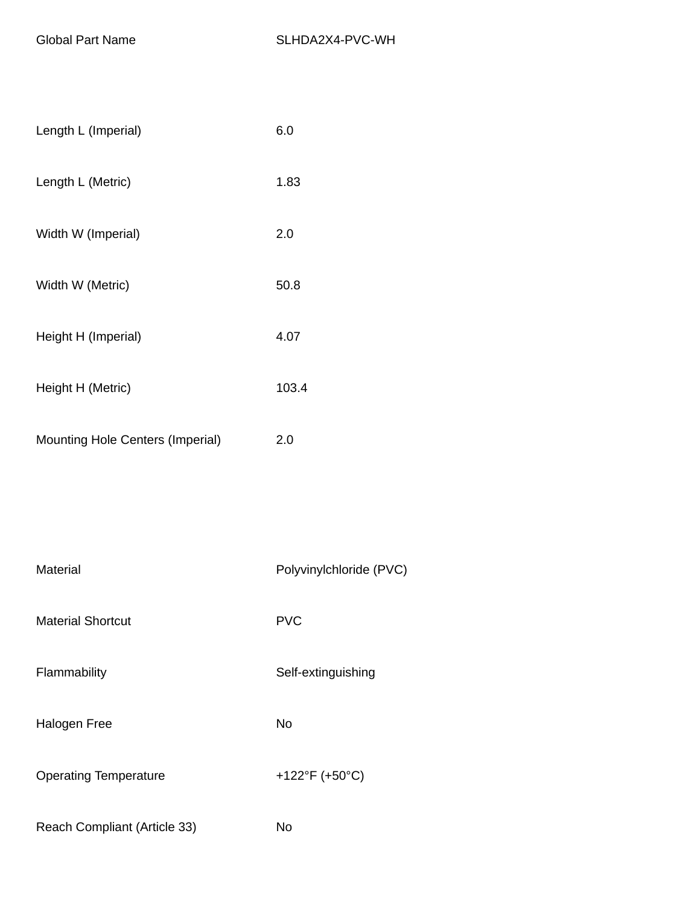| Length L (Imperial)                     | 6.0   |
|-----------------------------------------|-------|
| Length L (Metric)                       | 1.83  |
| Width W (Imperial)                      | 2.0   |
| Width W (Metric)                        | 50.8  |
| Height H (Imperial)                     | 4.07  |
| Height H (Metric)                       | 103.4 |
| <b>Mounting Hole Centers (Imperial)</b> | 2.0   |

| Material                     | Polyvinylchloride (PVC) |
|------------------------------|-------------------------|
| <b>Material Shortcut</b>     | <b>PVC</b>              |
| Flammability                 | Self-extinguishing      |
| <b>Halogen Free</b>          | No                      |
| <b>Operating Temperature</b> | +122°F (+50°C)          |
| Reach Compliant (Article 33) | No                      |